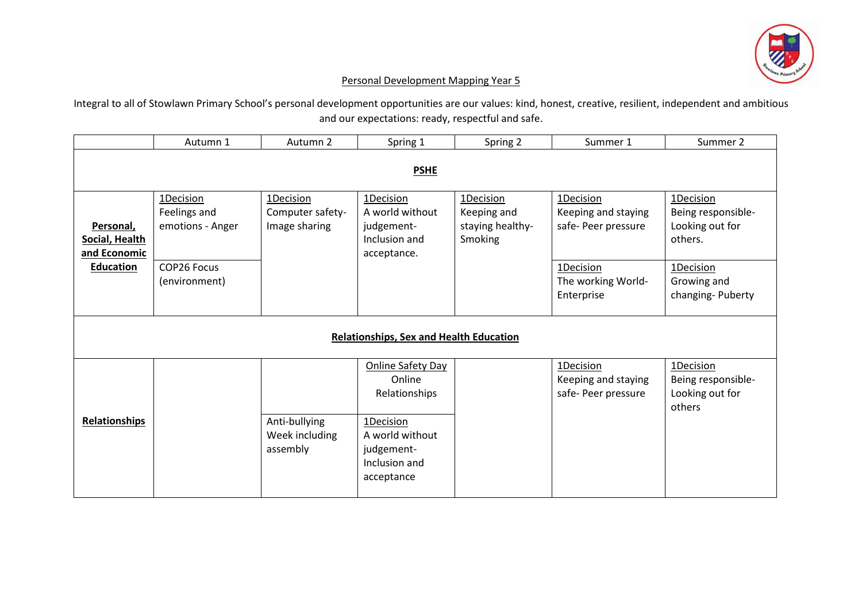

## Personal Development Mapping Year 5

Integral to all of Stowlawn Primary School's personal development opportunities are our values: kind, honest, creative, resilient, independent and ambitious and our expectations: ready, respectful and safe.

|                                                | Autumn 1                                      | Autumn 2                                       | Spring 1                                                                                                                  | Spring 2                                                       | Summer 1                                                | Summer 2                                                      |  |  |
|------------------------------------------------|-----------------------------------------------|------------------------------------------------|---------------------------------------------------------------------------------------------------------------------------|----------------------------------------------------------------|---------------------------------------------------------|---------------------------------------------------------------|--|--|
| <b>PSHE</b>                                    |                                               |                                                |                                                                                                                           |                                                                |                                                         |                                                               |  |  |
| Personal,<br>Social, Health<br>and Economic    | 1Decision<br>Feelings and<br>emotions - Anger | 1Decision<br>Computer safety-<br>Image sharing | 1Decision<br>A world without<br>judgement-<br>Inclusion and<br>acceptance.                                                | 1Decision<br>Keeping and<br>staying healthy-<br><b>Smoking</b> | 1Decision<br>Keeping and staying<br>safe- Peer pressure | 1Decision<br>Being responsible-<br>Looking out for<br>others. |  |  |
| Education                                      | COP26 Focus<br>(environment)                  |                                                |                                                                                                                           |                                                                | 1Decision<br>The working World-<br>Enterprise           | 1Decision<br>Growing and<br>changing-Puberty                  |  |  |
| <b>Relationships, Sex and Health Education</b> |                                               |                                                |                                                                                                                           |                                                                |                                                         |                                                               |  |  |
| <b>Relationships</b>                           |                                               | Anti-bullying<br>Week including<br>assembly    | Online Safety Day<br>Online<br>Relationships<br>1Decision<br>A world without<br>judgement-<br>Inclusion and<br>acceptance |                                                                | 1Decision<br>Keeping and staying<br>safe- Peer pressure | 1Decision<br>Being responsible-<br>Looking out for<br>others  |  |  |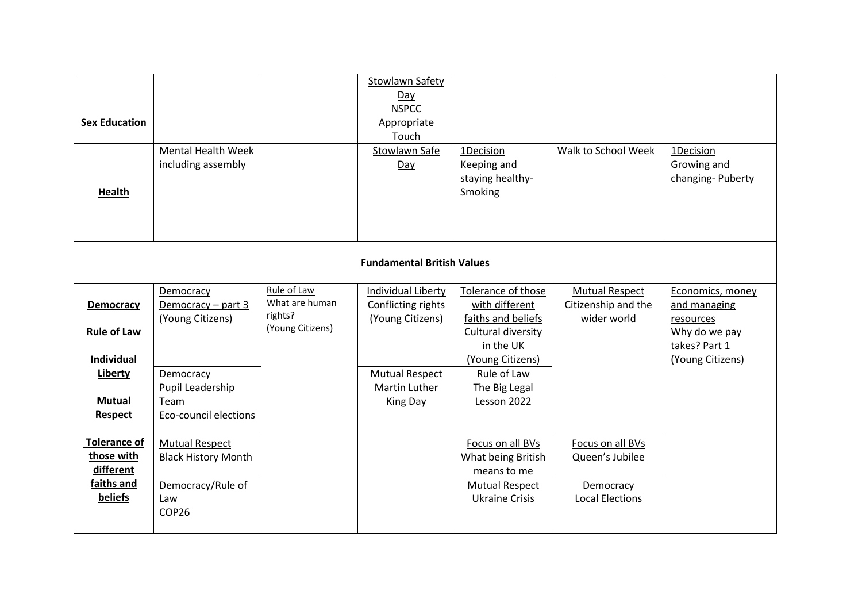| <b>Sex Education</b><br><b>Health</b>                                                       | <b>Mental Health Week</b><br>including assembly                                                                         |                                                              | Stowlawn Safety<br>Day<br><b>NSPCC</b><br>Appropriate<br>Touch<br>Stowlawn Safe<br>Day                                           | 1Decision<br>Keeping and<br>staying healthy-<br>Smoking                                                                                                          | Walk to School Week                                                        | 1Decision<br>Growing and<br>changing-Puberty                                                        |  |  |
|---------------------------------------------------------------------------------------------|-------------------------------------------------------------------------------------------------------------------------|--------------------------------------------------------------|----------------------------------------------------------------------------------------------------------------------------------|------------------------------------------------------------------------------------------------------------------------------------------------------------------|----------------------------------------------------------------------------|-----------------------------------------------------------------------------------------------------|--|--|
| <b>Fundamental British Values</b>                                                           |                                                                                                                         |                                                              |                                                                                                                                  |                                                                                                                                                                  |                                                                            |                                                                                                     |  |  |
| Democracy<br><b>Rule of Law</b><br>Individual<br>Liberty<br><b>Mutual</b><br><b>Respect</b> | Democracy<br>Democracy $-$ part 3<br>(Young Citizens)<br>Democracy<br>Pupil Leadership<br>Team<br>Eco-council elections | Rule of Law<br>What are human<br>rights?<br>(Young Citizens) | <b>Individual Liberty</b><br>Conflicting rights<br>(Young Citizens)<br><b>Mutual Respect</b><br><b>Martin Luther</b><br>King Day | Tolerance of those<br>with different<br>faiths and beliefs<br>Cultural diversity<br>in the UK<br>(Young Citizens)<br>Rule of Law<br>The Big Legal<br>Lesson 2022 | <b>Mutual Respect</b><br>Citizenship and the<br>wider world                | Economics, money<br>and managing<br>resources<br>Why do we pay<br>takes? Part 1<br>(Young Citizens) |  |  |
| <b>Tolerance of</b><br>those with<br>different<br>faiths and<br>beliefs                     | <b>Mutual Respect</b><br><b>Black History Month</b><br>Democracy/Rule of<br>Law<br>COP26                                |                                                              |                                                                                                                                  | Focus on all BVs<br>What being British<br>means to me<br><b>Mutual Respect</b><br><b>Ukraine Crisis</b>                                                          | Focus on all BVs<br>Queen's Jubilee<br>Democracy<br><b>Local Elections</b> |                                                                                                     |  |  |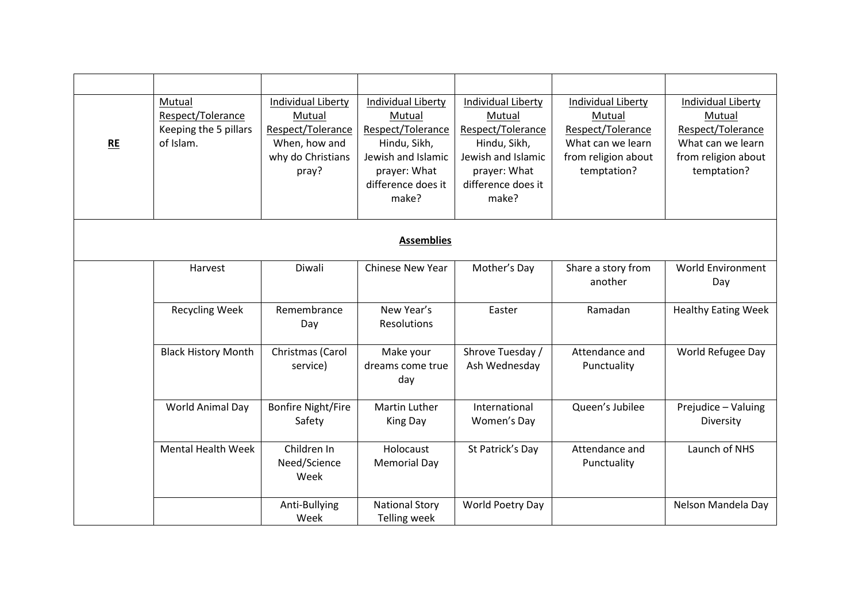| RE                | Mutual<br>Respect/Tolerance<br>Keeping the 5 pillars<br>of Islam. | Individual Liberty<br>Mutual<br>Respect/Tolerance<br>When, how and<br>why do Christians<br>pray? | <b>Individual Liberty</b><br>Mutual<br>Respect/Tolerance<br>Hindu, Sikh,<br>Jewish and Islamic<br>prayer: What<br>difference does it<br>make? | Individual Liberty<br>Mutual<br>Respect/Tolerance<br>Hindu, Sikh,<br>Jewish and Islamic<br>prayer: What<br>difference does it<br>make? | <b>Individual Liberty</b><br>Mutual<br>Respect/Tolerance<br>What can we learn<br>from religion about<br>temptation? | <b>Individual Liberty</b><br>Mutual<br>Respect/Tolerance<br>What can we learn<br>from religion about<br>temptation? |  |  |
|-------------------|-------------------------------------------------------------------|--------------------------------------------------------------------------------------------------|-----------------------------------------------------------------------------------------------------------------------------------------------|----------------------------------------------------------------------------------------------------------------------------------------|---------------------------------------------------------------------------------------------------------------------|---------------------------------------------------------------------------------------------------------------------|--|--|
| <b>Assemblies</b> |                                                                   |                                                                                                  |                                                                                                                                               |                                                                                                                                        |                                                                                                                     |                                                                                                                     |  |  |
|                   | Harvest                                                           | Diwali                                                                                           | Chinese New Year                                                                                                                              | Mother's Day                                                                                                                           | Share a story from<br>another                                                                                       | <b>World Environment</b><br>Day                                                                                     |  |  |
|                   | <b>Recycling Week</b>                                             | Remembrance<br>Day                                                                               | New Year's<br>Resolutions                                                                                                                     | Easter                                                                                                                                 | Ramadan                                                                                                             | <b>Healthy Eating Week</b>                                                                                          |  |  |
|                   | <b>Black History Month</b>                                        | Christmas (Carol<br>service)                                                                     | Make your<br>dreams come true<br>day                                                                                                          | Shrove Tuesday /<br>Ash Wednesday                                                                                                      | Attendance and<br>Punctuality                                                                                       | World Refugee Day                                                                                                   |  |  |
|                   | World Animal Day                                                  | <b>Bonfire Night/Fire</b><br>Safety                                                              | <b>Martin Luther</b><br>King Day                                                                                                              | International<br>Women's Day                                                                                                           | Queen's Jubilee                                                                                                     | Prejudice - Valuing<br>Diversity                                                                                    |  |  |
|                   | <b>Mental Health Week</b>                                         | Children In<br>Need/Science<br>Week                                                              | Holocaust<br><b>Memorial Day</b>                                                                                                              | St Patrick's Day                                                                                                                       | Attendance and<br>Punctuality                                                                                       | Launch of NHS                                                                                                       |  |  |
|                   |                                                                   | Anti-Bullying<br>Week                                                                            | <b>National Story</b><br><b>Telling week</b>                                                                                                  | World Poetry Day                                                                                                                       |                                                                                                                     | Nelson Mandela Day                                                                                                  |  |  |